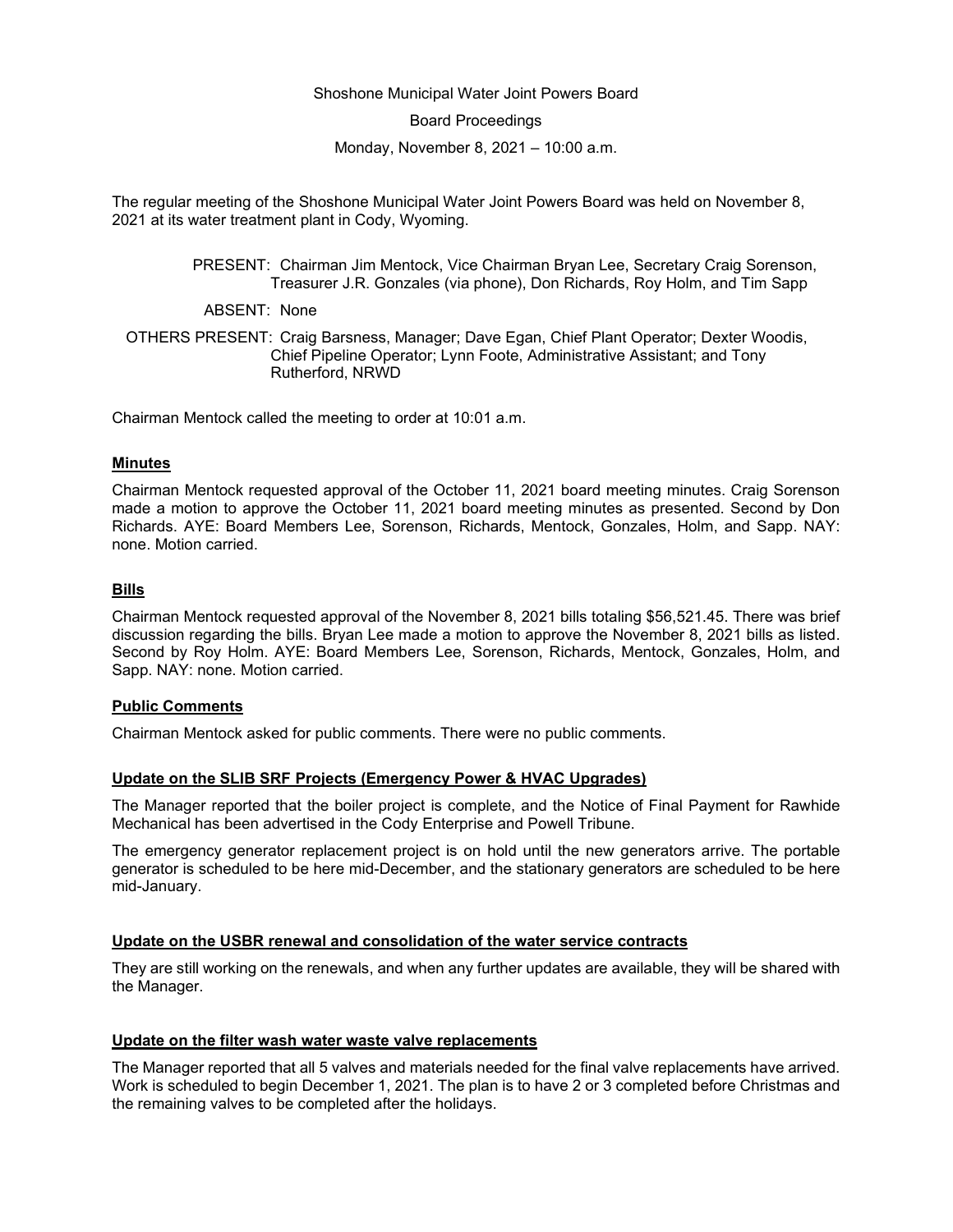#### Shoshone Municipal Water Joint Powers Board

Board Proceedings

Monday, November 8, 2021 – 10:00 a.m.

The regular meeting of the Shoshone Municipal Water Joint Powers Board was held on November 8, 2021 at its water treatment plant in Cody, Wyoming.

> PRESENT: Chairman Jim Mentock, Vice Chairman Bryan Lee, Secretary Craig Sorenson, Treasurer J.R. Gonzales (via phone), Don Richards, Roy Holm, and Tim Sapp

ABSENT: None

OTHERS PRESENT: Craig Barsness, Manager; Dave Egan, Chief Plant Operator; Dexter Woodis, Chief Pipeline Operator; Lynn Foote, Administrative Assistant; and Tony Rutherford, NRWD

Chairman Mentock called the meeting to order at 10:01 a.m.

#### **Minutes**

Chairman Mentock requested approval of the October 11, 2021 board meeting minutes. Craig Sorenson made a motion to approve the October 11, 2021 board meeting minutes as presented. Second by Don Richards. AYE: Board Members Lee, Sorenson, Richards, Mentock, Gonzales, Holm, and Sapp. NAY: none. Motion carried.

#### **Bills**

Chairman Mentock requested approval of the November 8, 2021 bills totaling \$56,521.45. There was brief discussion regarding the bills. Bryan Lee made a motion to approve the November 8, 2021 bills as listed. Second by Roy Holm. AYE: Board Members Lee, Sorenson, Richards, Mentock, Gonzales, Holm, and Sapp. NAY: none. Motion carried.

### **Public Comments**

Chairman Mentock asked for public comments. There were no public comments.

# **Update on the SLIB SRF Projects (Emergency Power & HVAC Upgrades)**

The Manager reported that the boiler project is complete, and the Notice of Final Payment for Rawhide Mechanical has been advertised in the Cody Enterprise and Powell Tribune.

The emergency generator replacement project is on hold until the new generators arrive. The portable generator is scheduled to be here mid-December, and the stationary generators are scheduled to be here mid-January.

#### **Update on the USBR renewal and consolidation of the water service contracts**

They are still working on the renewals, and when any further updates are available, they will be shared with the Manager.

#### **Update on the filter wash water waste valve replacements**

The Manager reported that all 5 valves and materials needed for the final valve replacements have arrived. Work is scheduled to begin December 1, 2021. The plan is to have 2 or 3 completed before Christmas and the remaining valves to be completed after the holidays.